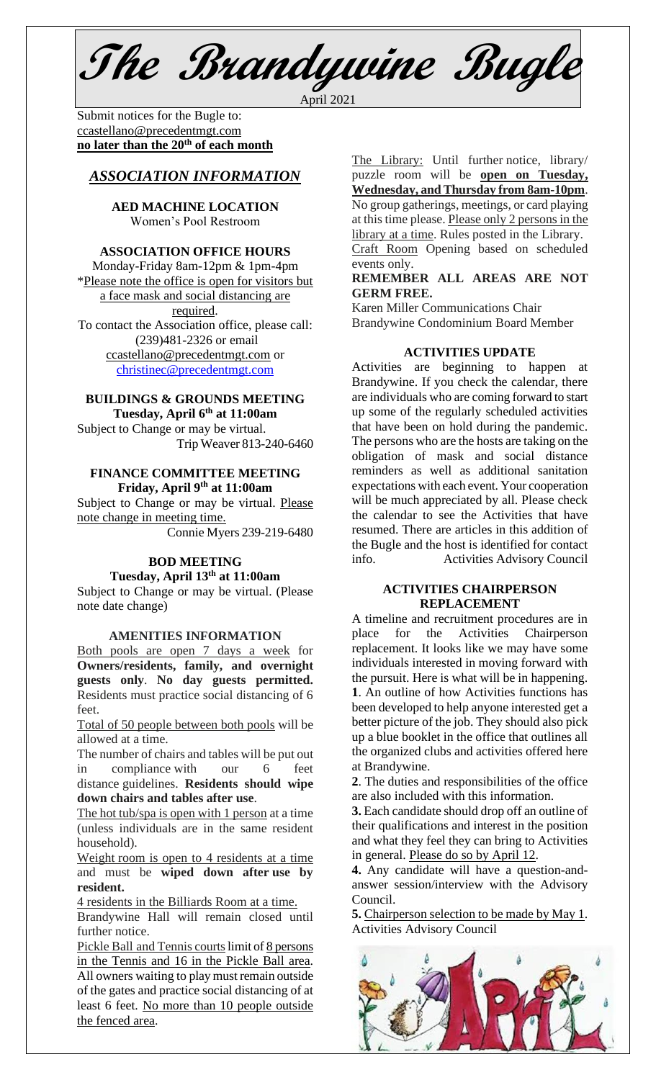**The Brandywine Bugle** April 2021

Submit notices for the Bugle to: [ccastellano@precedentmgt.com](mailto:johnandbethgrooms@gmail.com) **no later than the 20th of each month**

# *ASSOCIATION INFORMATION*

# **AED MACHINE LOCATION** Women's Pool Restroom

### **ASSOCIATION OFFICE HOURS**

Monday-Friday 8am-12pm & 1pm-4pm \*Please note the office is open for visitors but a face mask and social distancing are required. To contact the Association office, please call: (239)481-2326 or email [ccastellano@precedentmgt.com](mailto:ccastellano@precedentmgt.com) or

[christinec@precedentmgt.com](mailto:christinec@precedentmgt.com)

# **BUILDINGS & GROUNDS MEETING**

**Tuesday, April 6 th at 11:00am** Subject to Change or may be virtual. Trip Weaver 813-240-6460

# **FINANCE COMMITTEE MEETING Friday, April 9 th at 11:00am**

Subject to Change or may be virtual. Please note change in meeting time.

Connie Myers 239-219-6480

## **BOD MEETING Tuesday, April 13 th at 11:00am**

Subject to Change or may be virtual. (Please note date change)

### **AMENITIES INFORMATION**

Both pools are open 7 days a week for **Owners/residents, family, and overnight guests only**. **No day guests permitted.** Residents must practice social distancing of 6 feet.

Total of 50 people between both pools will be allowed at a time.

The number of chairs and tables will be put out in compliance with our 6 feet distance guidelines. **Residents should wipe down chairs and tables after use**.

The hot tub/spa is open with 1 person at a time (unless individuals are in the same resident household).

Weight room is open to 4 residents at a time and must be **wiped down after use by resident.**

4 residents in the Billiards Room at a time.

Brandywine Hall will remain closed until further notice.

Pickle Ball and Tennis courts limit of 8 persons in the Tennis and 16 in the Pickle Ball area. All owners waiting to play must remain outside of the gates and practice social distancing of at least 6 feet. No more than 10 people outside the fenced area.

The Library: Until further notice, library/ puzzle room will be **open on Tuesday, Wednesday, and Thursday from 8am-10pm**. No group gatherings, meetings, or card playing at this time please. Please only 2 persons in the library at a time. Rules posted in the Library. Craft Room Opening based on scheduled events only.

### **REMEMBER ALL AREAS ARE NOT GERM FREE.**

Karen Miller Communications Chair Brandywine Condominium Board Member

### **ACTIVITIES UPDATE**

Activities are beginning to happen at Brandywine. If you check the calendar, there are individuals who are coming forward to start up some of the regularly scheduled activities that have been on hold during the pandemic. The persons who are the hosts are taking on the obligation of mask and social distance reminders as well as additional sanitation expectations with each event. Your cooperation will be much appreciated by all. Please check the calendar to see the Activities that have resumed. There are articles in this addition of the Bugle and the host is identified for contact info. Activities Advisory Council

# **ACTIVITIES CHAIRPERSON REPLACEMENT**

A timeline and recruitment procedures are in place for the Activities Chairperson replacement. It looks like we may have some individuals interested in moving forward with the pursuit. Here is what will be in happening. **1**. An outline of how Activities functions has been developed to help anyone interested get a better picture of the job. They should also pick up a blue booklet in the office that outlines all the organized clubs and activities offered here at Brandywine.

**2**. The duties and responsibilities of the office are also included with this information.

**3.** Each candidate should drop off an outline of their qualifications and interest in the position and what they feel they can bring to Activities in general. Please do so by April 12.

**4.** Any candidate will have a question-andanswer session/interview with the Advisory Council.

**5.** Chairperson selection to be made by May 1. Activities Advisory Council

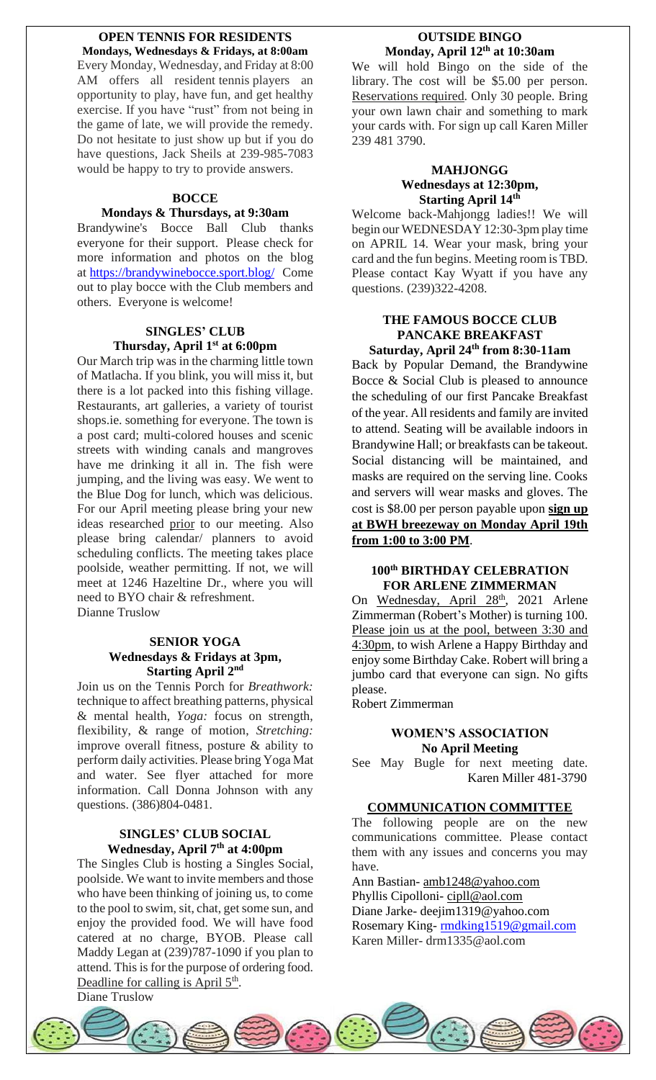### **OPEN TENNIS FOR RESIDENTS Mondays, Wednesdays & Fridays, at 8:00am**

Every Monday, Wednesday, and Friday at 8:00 AM offers all resident tennis players an opportunity to play, have fun, and get healthy exercise. If you have "rust" from not being in the game of late, we will provide the remedy. Do not hesitate to just show up but if you do have questions, Jack Sheils at 239-985-7083 would be happy to try to provide answers.

### **BOCCE**

### **Mondays & Thursdays, at 9:30am**

Brandywine's Bocce Ball Club thanks everyone for their support. Please check for more information and photos on the blog at <https://brandywinebocce.sport.blog/> Come out to play bocce with the Club members and others. Everyone is welcome!

# **SINGLES' CLUB Thursday, April 1 st at 6:00pm**

Our March trip was in the charming little town of Matlacha. If you blink, you will miss it, but there is a lot packed into this fishing village. Restaurants, art galleries, a variety of tourist shops.ie. something for everyone. The town is a post card; multi-colored houses and scenic streets with winding canals and mangroves have me drinking it all in. The fish were jumping, and the living was easy. We went to the Blue Dog for lunch, which was delicious. For our April meeting please bring your new ideas researched prior to our meeting. Also please bring calendar/ planners to avoid scheduling conflicts. The meeting takes place poolside, weather permitting. If not, we will meet at 1246 Hazeltine Dr., where you will need to BYO chair & refreshment. Dianne Truslow

# **SENIOR YOGA Wednesdays & Fridays at 3pm, Starting April 2nd**

Join us on the Tennis Porch for *Breathwork:* technique to affect breathing patterns, physical & mental health, *Yoga:* focus on strength, flexibility, & range of motion, *Stretching:* improve overall fitness, posture & ability to perform daily activities. Please bring Yoga Mat and water. See flyer attached for more information. Call Donna Johnson with any questions. (386)804-0481.

# **SINGLES' CLUB SOCIAL Wednesday, April 7 th at 4:00pm**

The Singles Club is hosting a Singles Social, poolside. We want to invite members and those who have been thinking of joining us, to come to the pool to swim, sit, chat, get some sun, and enjoy the provided food. We will have food catered at no charge, BYOB. Please call Maddy Legan at (239)787-1090 if you plan to attend. This is for the purpose of ordering food. Deadline for calling is April 5<sup>th</sup>.

Diane Truslow

# **OUTSIDE BINGO Monday, April 12 th at 10:30am**

We will hold Bingo on the side of the library. The cost will be \$5.00 per person. Reservations required. Only 30 people. Bring your own lawn chair and something to mark your cards with. For sign up call Karen Miller 239 481 3790.

## **MAHJONGG Wednesdays at 12:30pm, Starting April 14th**

Welcome back-Mahjongg ladies!! We will begin our WEDNESDAY 12:30-3pm play time on APRIL 14. Wear your mask, bring your card and the fun begins. Meeting room is TBD. Please contact Kay Wyatt if you have any questions. (239)322-4208.

# **THE FAMOUS BOCCE CLUB PANCAKE BREAKFAST**

**Saturday, April 24 th from 8:30-11am** Back by Popular Demand, the Brandywine Bocce & Social Club is pleased to announce the scheduling of our first Pancake Breakfast of the year. All residents and family are invited to attend. Seating will be available indoors in Brandywine Hall; or breakfasts can be takeout. Social distancing will be maintained, and masks are required on the serving line. Cooks and servers will wear masks and gloves. The cost is \$8.00 per person payable upon **sign up at BWH breezeway on Monday April 19th from 1:00 to 3:00 PM**.

### **100th BIRTHDAY CELEBRATION FOR ARLENE ZIMMERMAN**

On Wednesday, April 28<sup>th</sup>, 2021 Arlene Zimmerman (Robert's Mother) is turning 100. Please join us at the pool, between 3:30 and 4:30pm, to wish Arlene a Happy Birthday and enjoy some Birthday Cake. Robert will bring a jumbo card that everyone can sign. No gifts please.

Robert Zimmerman

# **WOMEN'S ASSOCIATION No April Meeting**

See May Bugle for next meeting date.Karen Miller 481-3790

# **COMMUNICATION COMMITTEE**

The following people are on the new communications committee. Please contact them with any issues and concerns you may have.

Ann Bastian- [amb1248@yahoo.com](mailto:amb1248@yahoo.com) Phyllis Cipolloni- [cipll@aol.com](mailto:cipll@aol.com) Diane Jarke- deejim1319@yahoo.com Rosemary King- [rmdking1519@gmail.com](mailto:rmdking1519@gmail.com) Karen Miller- drm1335@aol.com

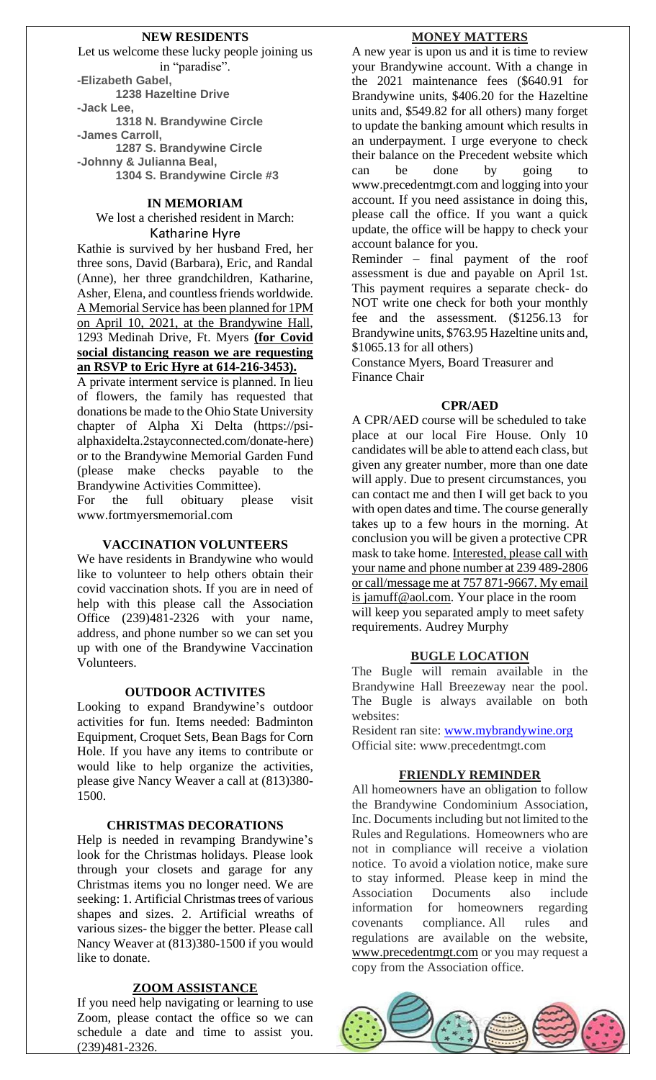### **NEW RESIDENTS**

Let us welcome these lucky people joining us in "paradise". **-Elizabeth Gabel, 1238 Hazeltine Drive -Jack Lee, 1318 N. Brandywine Circle -James Carroll, 1287 S. Brandywine Circle -Johnny & Julianna Beal, 1304 S. Brandywine Circle #3**

### **IN MEMORIAM**

We lost a cherished resident in March: Katharine Hyre

Kathie is survived by her husband Fred, her three sons, David (Barbara), Eric, and Randal (Anne), her three grandchildren, Katharine, Asher, Elena, and countless friends worldwide. A Memorial Service has been planned for 1PM on April 10, 2021, at the Brandywine Hall, 1293 Medinah Drive, Ft. Myers **(for Covid social distancing reason we are requesting an RSVP to Eric Hyre at 614-216-3453).**

A private interment service is planned. In lieu of flowers, the family has requested that donations be made to the Ohio State University chapter of Alpha Xi Delta (https://psialphaxidelta.2stayconnected.com/donate-here) or to the Brandywine Memorial Garden Fund (please make checks payable to the Brandywine Activities Committee).

For the full obituary please visit www.fortmyersmemorial.com

#### **VACCINATION VOLUNTEERS**

We have residents in Brandywine who would like to volunteer to help others obtain their covid vaccination shots. If you are in need of help with this please call the Association Office (239)481-2326 with your name, address, and phone number so we can set you up with one of the Brandywine Vaccination Volunteers.

#### **OUTDOOR ACTIVITES**

Looking to expand Brandywine's outdoor activities for fun. Items needed: Badminton Equipment, Croquet Sets, Bean Bags for Corn Hole. If you have any items to contribute or would like to help organize the activities, please give Nancy Weaver a call at (813)380- 1500.

#### **CHRISTMAS DECORATIONS**

Help is needed in revamping Brandywine's look for the Christmas holidays. Please look through your closets and garage for any Christmas items you no longer need. We are seeking: 1. Artificial Christmas trees of various shapes and sizes. 2. Artificial wreaths of various sizes- the bigger the better. Please call Nancy Weaver at (813)380-1500 if you would like to donate.

#### **ZOOM ASSISTANCE**

If you need help navigating or learning to use Zoom, please contact the office so we can schedule a date and time to assist you. (239)481-2326.

#### **MONEY MATTERS**

A new year is upon us and it is time to review your Brandywine account. With a change in the 2021 maintenance fees (\$640.91 for Brandywine units, \$406.20 for the Hazeltine units and, \$549.82 for all others) many forget to update the banking amount which results in an underpayment. I urge everyone to check their balance on the Precedent website which can be done by going to www.precedentmgt.com and logging into your account. If you need assistance in doing this, please call the office. If you want a quick update, the office will be happy to check your account balance for you.

Reminder – final payment of the roof assessment is due and payable on April 1st. This payment requires a separate check- do NOT write one check for both your monthly fee and the assessment. (\$1256.13 for Brandywine units, \$763.95 Hazeltine units and, \$1065.13 for all others)

Constance Myers, Board Treasurer and Finance Chair

#### **CPR/AED**

A CPR/AED course will be scheduled to take place at our local Fire House. Only 10 candidates will be able to attend each class, but given any greater number, more than one date will apply. Due to present circumstances, you can contact me and then I will get back to you with open dates and time. The course generally takes up to a few hours in the morning. At conclusion you will be given a protective CPR mask to take home. Interested, please call with your name and phone number at 239 489-2806 or call/message me at 757 871-9667. My email is jamuff@aol.com. Your place in the room will keep you separated amply to meet safety requirements. Audrey Murphy

#### **BUGLE LOCATION**

The Bugle will remain available in the Brandywine Hall Breezeway near the pool. The Bugle is always available on both websites:

Resident ran site: [www.mybrandywine.org](http://www.mybrandywine.org/) Official site: www.precedentmgt.com

#### **FRIENDLY REMINDER**

All homeowners have an obligation to follow the Brandywine Condominium Association, Inc. Documents including but not limited to the Rules and Regulations. Homeowners who are not in compliance will receive a violation notice. To avoid a violation notice, make sure to stay informed. Please keep in mind the Association Documents also include information for homeowners regarding covenants compliance. All rules and regulations are available on the website, [www.precedentmgt.com](http://www.precedentmgt.com/) or you may request a copy from the Association office.